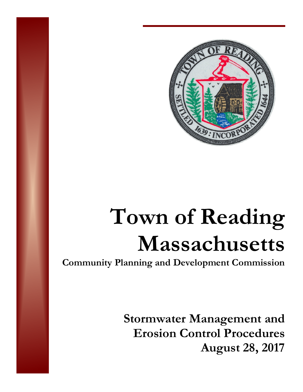

# **Town of Reading Massachusetts**

**Community Planning and Development Commission** 

**Stormwater Management and Erosion Control Procedures August 28, 2017**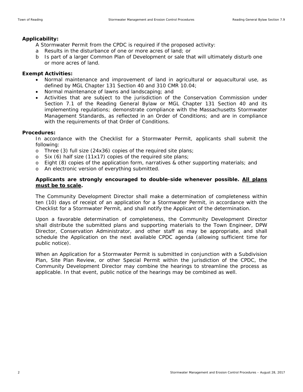#### **Applicability:**

A Stormwater Permit from the CPDC is required if the proposed activity:

- a Results in the disturbance of one or more acres of land; or
- b Is part of a larger Common Plan of Development or sale that will ultimately disturb one or more acres of land.

### **Exempt Activities:**

- Normal maintenance and improvement of land in agricultural or aquacultural use, as defined by MGL Chapter 131 Section 40 and 310 CMR 10.04;
- Normal maintenance of lawns and landscaping; and
- Activities that are subject to the jurisdiction of the Conservation Commission under Section 7.1 of the Reading General Bylaw or MGL Chapter 131 Section 40 and its implementing regulations; demonstrate compliance with the Massachusetts Stormwater Management Standards, as reflected in an Order of Conditions; and are in compliance with the requirements of that Order of Conditions.

#### **Procedures:**

In accordance with the Checklist for a Stormwater Permit, applicants shall submit the following:

- o Three (3) full size (24x36) copies of the required site plans;
- o Six (6) half size (11x17) copies of the required site plans;
- o Eight (8) copies of the application form, narratives & other supporting materials; and
- o An electronic version of everything submitted.

## **Applicants are strongly encouraged to double-side whenever possible. All plans must be to scale.**

The Community Development Director shall make a determination of completeness within ten (10) days of receipt of an application for a Stormwater Permit, in accordance with the Checklist for a Stormwater Permit, and shall notify the Applicant of the determination.

Upon a favorable determination of completeness, the Community Development Director shall distribute the submitted plans and supporting materials to the Town Engineer, DPW Director, Conservation Administrator, and other staff as may be appropriate, and shall schedule the Application on the next available CPDC agenda (allowing sufficient time for public notice).

When an Application for a Stormwater Permit is submitted in conjunction with a Subdivision Plan, Site Plan Review, or other Special Permit within the jurisdiction of the CPDC, the Community Development Director may combine the hearings to streamline the process as applicable. In that event, public notice of the hearings may be combined as well.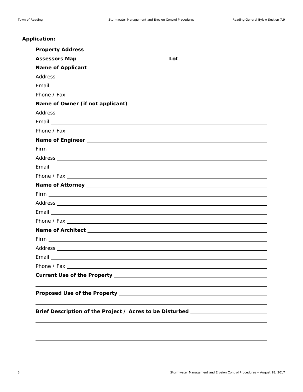# **Application:**

| Name of Applicant Learning and Contract and Contract and Contract and Contract and Contract and Contract and Contract and Contract and Contract and Contract and Contract and Contract and Contract and Contract and Contract |
|-------------------------------------------------------------------------------------------------------------------------------------------------------------------------------------------------------------------------------|
|                                                                                                                                                                                                                               |
|                                                                                                                                                                                                                               |
|                                                                                                                                                                                                                               |
|                                                                                                                                                                                                                               |
|                                                                                                                                                                                                                               |
|                                                                                                                                                                                                                               |
|                                                                                                                                                                                                                               |
|                                                                                                                                                                                                                               |
|                                                                                                                                                                                                                               |
|                                                                                                                                                                                                                               |
|                                                                                                                                                                                                                               |
|                                                                                                                                                                                                                               |
|                                                                                                                                                                                                                               |
|                                                                                                                                                                                                                               |
|                                                                                                                                                                                                                               |
|                                                                                                                                                                                                                               |
|                                                                                                                                                                                                                               |
|                                                                                                                                                                                                                               |
|                                                                                                                                                                                                                               |
|                                                                                                                                                                                                                               |
|                                                                                                                                                                                                                               |
| Phone / Fax                                                                                                                                                                                                                   |
|                                                                                                                                                                                                                               |
| Proposed Use of the Property                                                                                                                                                                                                  |
| Brief Description of the Project / Acres to be Disturbed _______________________                                                                                                                                              |
|                                                                                                                                                                                                                               |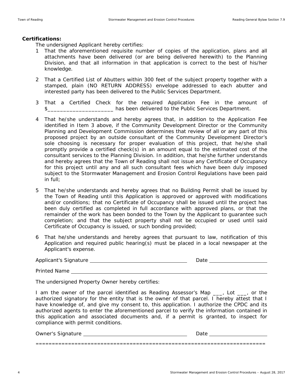#### **Certifications:**

The undersigned Applicant hereby certifies:

- 1 That the aforementioned requisite number of copies of the application, plans and all attachments have been delivered (or are being delivered herewith) to the Planning Division, and that all information in that application is correct to the best of his/her knowledge.
- 2 That a Certified List of Abutters within 300 feet of the subject property together with a stamped, plain (NO RETURN ADDRESS) envelope addressed to each abutter and interested party has been delivered to the Public Services Department.
- 3 That a Certified Check for the required Application Fee in the amount of \$\_\_\_\_\_\_\_\_\_\_\_\_\_\_\_\_\_\_\_\_\_\_\_\_\_\_\_\_\_has been delivered to the Public Services Department.
- 4 That he/she understands and hereby agrees that, in addition to the Application Fee identified in Item 3 above, if the Community Development Director or the Community Planning and Development Commission determines that review of all or any part of this proposed project by an outside consultant of the Community Development Director's sole choosing is necessary for proper evaluation of this project, that he/she shall promptly provide a certified check(s) in an amount equal to the estimated cost of the consultant services to the Planning Division. In addition, that he/she further understands and hereby agrees that the Town of Reading shall not issue any Certificate of Occupancy for this project until any and all such consultant fees which have been duly imposed subject to the Stormwater Management and Erosion Control Regulations have been paid in full;
- 5 That he/she understands and hereby agrees that no Building Permit shall be issued by the Town of Reading until this Application is approved or approved with modifications and/or conditions; that no Certificate of Occupancy shall be issued until the project has been duly certified as completed in full accordance with approved plans, or that the remainder of the work has been bonded to the Town by the Applicant to guarantee such completion; and that the subject property shall not be occupied or used until said Certificate of Occupancy is issued, or such bonding provided;
- 6 That he/she understands and hereby agrees that pursuant to law, notification of this Application and required public hearing(s) must be placed in a local newspaper at the Applicant's expense.

Applicant's Signature Date

Printed Name

The undersigned Property Owner hereby certifies:

I am the owner of the parcel identified as Reading Assessor's Map \_\_\_, Lot \_\_\_, or the authorized signatory for the entity that is the owner of that parcel. I hereby attest that I have knowledge of, and give my consent to, this application. I authorize the CPDC and its authorized agents to enter the aforementioned parcel to verify the information contained in this application and associated documents and, if a permit is granted, to inspect for compliance with permit conditions.

| Owner's Signature | Date |  |
|-------------------|------|--|
|                   |      |  |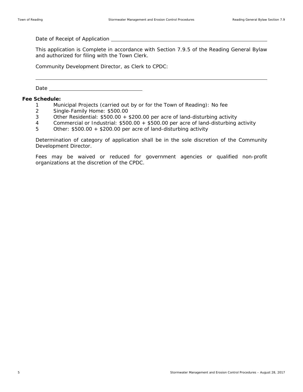Date of Receipt of Application

This application is Complete in accordance with Section 7.9.5 of the Reading General Bylaw and authorized for filing with the Town Clerk.

Community Development Director, as Clerk to CPDC:

Date and the contract of the contract of the contract of the contract of the contract of the contract of the contract of the contract of the contract of the contract of the contract of the contract of the contract of the c

# **Fee Schedule:**

- 1 Municipal Projects (carried out by or for the Town of Reading): No fee
- 2 Single-Family Home: \$500.00
- 3 Other Residential: \$500.00 + \$200.00 per acre of land-disturbing activity
- 4 Commercial or Industrial: \$500.00 + \$500.00 per acre of land-disturbing activity
- 5 Other: \$500.00 + \$200.00 per acre of land-disturbing activity

Determination of category of application shall be in the sole discretion of the Community Development Director.

Fees may be waived or reduced for government agencies or qualified non-profit organizations at the discretion of the CPDC.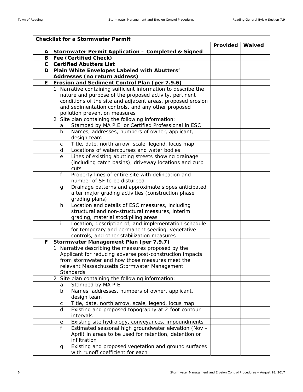| <b>Checklist for a Stormwater Permit</b> |    |                                                                                          |          |        |  |  |
|------------------------------------------|----|------------------------------------------------------------------------------------------|----------|--------|--|--|
|                                          |    |                                                                                          | Provided | Waived |  |  |
| A                                        |    | <b>Stormwater Permit Application - Completed &amp; Signed</b>                            |          |        |  |  |
|                                          |    | <b>B</b> Fee (Certified Check)                                                           |          |        |  |  |
| C                                        |    | <b>Certified Abutters List</b>                                                           |          |        |  |  |
| D                                        |    | Plain White Envelopes Labeled with Abutters'                                             |          |        |  |  |
|                                          |    | Addresses (no return address)                                                            |          |        |  |  |
| E.                                       |    | Erosion and Sediment Control Plan (per 7.9.6)                                            |          |        |  |  |
|                                          | 1. | Narrative containing sufficient information to describe the                              |          |        |  |  |
|                                          |    | nature and purpose of the proposed activity, pertinent                                   |          |        |  |  |
|                                          |    | conditions of the site and adjacent areas, proposed erosion                              |          |        |  |  |
|                                          |    | and sedimentation controls, and any other proposed                                       |          |        |  |  |
|                                          |    | pollution prevention measures                                                            |          |        |  |  |
|                                          |    | 2 Site plan containing the following information:                                        |          |        |  |  |
|                                          | а  | Stamped by MA P.E. or Certified Professional in ESC                                      |          |        |  |  |
|                                          | b  | Names, addresses, numbers of owner, applicant,                                           |          |        |  |  |
|                                          |    | design team                                                                              |          |        |  |  |
|                                          | C  | Title, date, north arrow, scale, legend, locus map                                       |          |        |  |  |
|                                          | d  | Locations of watercourses and water bodies                                               |          |        |  |  |
|                                          | e  | Lines of existing abutting streets showing drainage                                      |          |        |  |  |
|                                          |    | (including catch basins), driveway locations and curb                                    |          |        |  |  |
|                                          |    | cuts                                                                                     |          |        |  |  |
|                                          | f  | Property lines of entire site with delineation and                                       |          |        |  |  |
|                                          |    | number of SF to be disturbed                                                             |          |        |  |  |
|                                          | g  | Drainage patterns and approximate slopes anticipated                                     |          |        |  |  |
|                                          |    | after major grading activities (construction phase                                       |          |        |  |  |
|                                          |    | grading plans)                                                                           |          |        |  |  |
|                                          | h. | Location and details of ESC measures, including                                          |          |        |  |  |
|                                          |    | structural and non-structural measures, interim                                          |          |        |  |  |
|                                          |    | grading, material stockpiling areas                                                      |          |        |  |  |
|                                          | j. | Location, description of, and implementation schedule                                    |          |        |  |  |
|                                          |    | for temporary and permanent seeding, vegetative                                          |          |        |  |  |
|                                          |    | controls, and other stabilization measures                                               |          |        |  |  |
| F.                                       |    | Stormwater Management Plan (per 7.9.7)                                                   |          |        |  |  |
|                                          |    | 1 Narrative describing the measures proposed by the                                      |          |        |  |  |
|                                          |    | Applicant for reducing adverse post-construction impacts                                 |          |        |  |  |
|                                          |    | from stormwater and how those measures meet the                                          |          |        |  |  |
|                                          |    | relevant Massachusetts Stormwater Management                                             |          |        |  |  |
|                                          |    | Standards                                                                                |          |        |  |  |
|                                          |    | 2 Site plan containing the following information:                                        |          |        |  |  |
|                                          | a  | Stamped by MA P.E.                                                                       |          |        |  |  |
|                                          | b  | Names, addresses, numbers of owner, applicant,                                           |          |        |  |  |
|                                          |    | design team                                                                              |          |        |  |  |
|                                          | С  | Title, date, north arrow, scale, legend, locus map                                       |          |        |  |  |
|                                          | d  | Existing and proposed topography at 2-foot contour                                       |          |        |  |  |
|                                          |    | intervals                                                                                |          |        |  |  |
|                                          | е  | Existing site hydrology, conveyances, impoundments                                       |          |        |  |  |
|                                          | f  | Estimated seasonal high groundwater elevation (Nov -                                     |          |        |  |  |
|                                          |    | April) in areas to be used for retention, detention or                                   |          |        |  |  |
|                                          |    | infiltration                                                                             |          |        |  |  |
|                                          | g  | Existing and proposed vegetation and ground surfaces<br>with runoff coefficient for each |          |        |  |  |